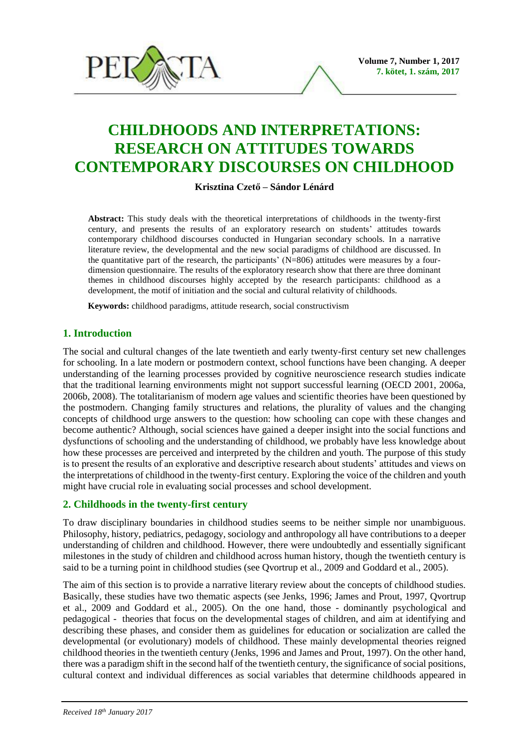

# **CHILDHOODS AND INTERPRETATIONS: RESEARCH ON ATTITUDES TOWARDS CONTEMPORARY DISCOURSES ON CHILDHOOD**

## **Krisztina Czető – Sándor Lénárd**

**Abstract:** This study deals with the theoretical interpretations of childhoods in the twenty-first century, and presents the results of an exploratory research on students' attitudes towards contemporary childhood discourses conducted in Hungarian secondary schools. In a narrative literature review, the developmental and the new social paradigms of childhood are discussed. In the quantitative part of the research, the participants'  $(N=806)$  attitudes were measures by a fourdimension questionnaire. The results of the exploratory research show that there are three dominant themes in childhood discourses highly accepted by the research participants: childhood as a development, the motif of initiation and the social and cultural relativity of childhoods.

**Keywords:** childhood paradigms, attitude research, social constructivism

# **1. Introduction**

The social and cultural changes of the late twentieth and early twenty-first century set new challenges for schooling. In a late modern or postmodern context, school functions have been changing. A deeper understanding of the learning processes provided by cognitive neuroscience research studies indicate that the traditional learning environments might not support successful learning (OECD 2001, 2006a, 2006b, 2008). The totalitarianism of modern age values and scientific theories have been questioned by the postmodern. Changing family structures and relations, the plurality of values and the changing concepts of childhood urge answers to the question: how schooling can cope with these changes and become authentic? Although, social sciences have gained a deeper insight into the social functions and dysfunctions of schooling and the understanding of childhood, we probably have less knowledge about how these processes are perceived and interpreted by the children and youth. The purpose of this study is to present the results of an explorative and descriptive research about students' attitudes and views on the interpretations of childhood in the twenty-first century. Exploring the voice of the children and youth might have crucial role in evaluating social processes and school development.

# **2. Childhoods in the twenty-first century**

To draw disciplinary boundaries in childhood studies seems to be neither simple nor unambiguous. Philosophy, history, pediatrics, pedagogy, sociology and anthropology all have contributions to a deeper understanding of children and childhood. However, there were undoubtedly and essentially significant milestones in the study of children and childhood across human history, though the twentieth century is said to be a turning point in childhood studies (see Qvortrup et al., 2009 and Goddard et al., 2005).

The aim of this section is to provide a narrative literary review about the concepts of childhood studies. Basically, these studies have two thematic aspects (see Jenks, 1996; James and Prout, 1997, Qvortrup et al., 2009 and Goddard et al., 2005). On the one hand, those - dominantly psychological and pedagogical - theories that focus on the developmental stages of children, and aim at identifying and describing these phases, and consider them as guidelines for education or socialization are called the developmental (or evolutionary) models of childhood. These mainly developmental theories reigned childhood theories in the twentieth century (Jenks, 1996 and James and Prout, 1997). On the other hand, there was a paradigm shift in the second half of the twentieth century, the significance of social positions, cultural context and individual differences as social variables that determine childhoods appeared in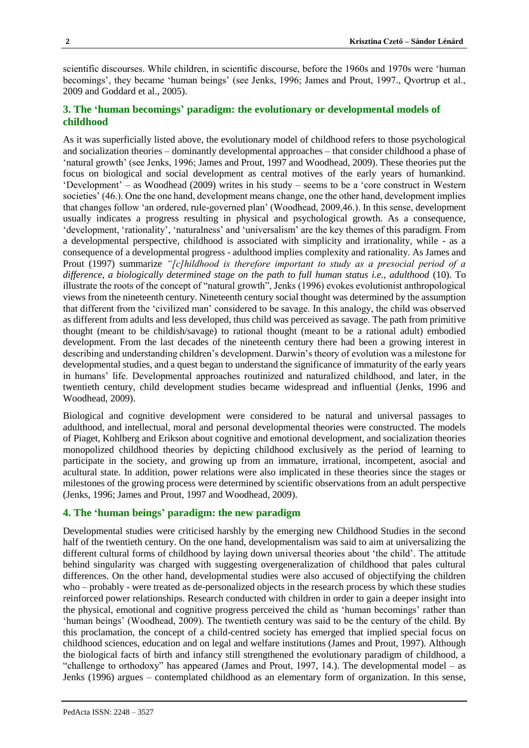scientific discourses. While children, in scientific discourse, before the 1960s and 1970s were 'human becomings', they became 'human beings' (see Jenks, 1996; James and Prout, 1997., Qvortrup et al., 2009 and Goddard et al., 2005).

# **3. The 'human becomings' paradigm: the evolutionary or developmental models of childhood**

As it was superficially listed above, the evolutionary model of childhood refers to those psychological and socialization theories – dominantly developmental approaches – that consider childhood a phase of 'natural growth' (see Jenks, 1996; James and Prout, 1997 and Woodhead, 2009). These theories put the focus on biological and social development as central motives of the early years of humankind. 'Development' – as Woodhead (2009) writes in his study – seems to be a 'core construct in Western societies' (46.). One the one hand, development means change, one the other hand, development implies that changes follow 'an ordered, rule-governed plan' (Woodhead, 2009,46.). In this sense, development usually indicates a progress resulting in physical and psychological growth. As a consequence, 'development, 'rationality', 'naturalness' and 'universalism' are the key themes of this paradigm. From a developmental perspective, childhood is associated with simplicity and irrationality, while - as a consequence of a developmental progress - adulthood implies complexity and rationality. As James and Prout (1997) summarize *"[c]hildhood is therefore important to study as a presocial period of a difference, a biologically determined stage on the path to full human status i.e., adulthood* (10). To illustrate the roots of the concept of "natural growth", Jenks (1996) evokes evolutionist anthropological views from the nineteenth century. Nineteenth century social thought was determined by the assumption that different from the 'civilized man' considered to be savage. In this analogy, the child was observed as different from adults and less developed, thus child was perceived as savage. The path from primitive thought (meant to be childish/savage) to rational thought (meant to be a rational adult) embodied development. From the last decades of the nineteenth century there had been a growing interest in describing and understanding children's development. Darwin's theory of evolution was a milestone for developmental studies, and a quest began to understand the significance of immaturity of the early years in humans' life. Developmental approaches routinized and naturalized childhood, and later, in the twentieth century, child development studies became widespread and influential (Jenks, 1996 and Woodhead, 2009).

Biological and cognitive development were considered to be natural and universal passages to adulthood, and intellectual, moral and personal developmental theories were constructed. The models of Piaget, Kohlberg and Erikson about cognitive and emotional development, and socialization theories monopolized childhood theories by depicting childhood exclusively as the period of learning to participate in the society, and growing up from an immature, irrational, incompetent, asocial and acultural state. In addition, power relations were also implicated in these theories since the stages or milestones of the growing process were determined by scientific observations from an adult perspective (Jenks, 1996; James and Prout, 1997 and Woodhead, 2009).

## **4. The 'human beings' paradigm: the new paradigm**

Developmental studies were criticised harshly by the emerging new Childhood Studies in the second half of the twentieth century. On the one hand, developmentalism was said to aim at universalizing the different cultural forms of childhood by laying down universal theories about 'the child'. The attitude behind singularity was charged with suggesting overgeneralization of childhood that pales cultural differences. On the other hand, developmental studies were also accused of objectifying the children who – probably - were treated as de-personalized objects in the research process by which these studies reinforced power relationships. Research conducted with children in order to gain a deeper insight into the physical, emotional and cognitive progress perceived the child as 'human becomings' rather than 'human beings' (Woodhead, 2009). The twentieth century was said to be the century of the child. By this proclamation, the concept of a child-centred society has emerged that implied special focus on childhood sciences, education and on legal and welfare institutions (James and Prout, 1997). Although the biological facts of birth and infancy still strengthened the evolutionary paradigm of childhood, a "challenge to orthodoxy" has appeared (James and Prout, 1997, 14.). The developmental model – as Jenks (1996) argues – contemplated childhood as an elementary form of organization. In this sense,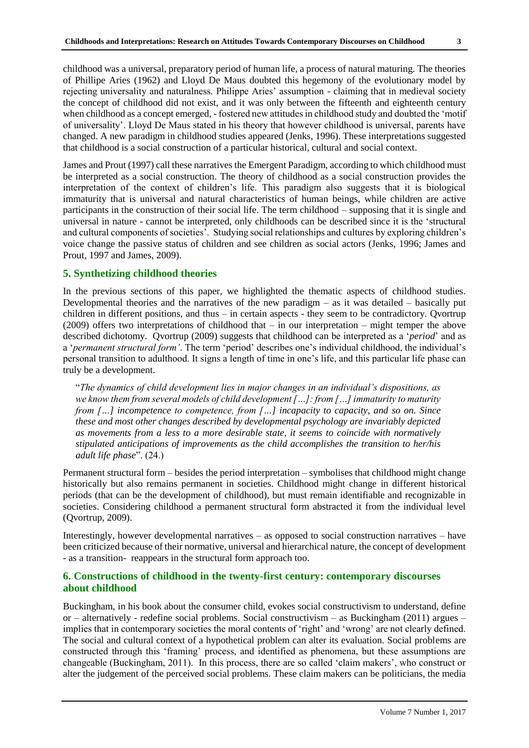childhood was a universal, preparatory period of human life, a process of natural maturing. The theories of Phillipe Aries (1962) and Lloyd De Maus doubted this hegemony of the evolutionary model by rejecting universality and naturalness. Philippe Aries' assumption - claiming that in medieval society the concept of childhood did not exist, and it was only between the fifteenth and eighteenth century when childhood as a concept emerged, - fostered new attitudes in childhood study and doubted the 'motif of universality'. Lloyd De Maus stated in his theory that however childhood is universal, parents have changed. A new paradigm in childhood studies appeared (Jenks, 1996). These interpretations suggested that childhood is a social construction of a particular historical, cultural and social context.

James and Prout (1997) call these narratives the Emergent Paradigm, according to which childhood must be interpreted as a social construction. The theory of childhood as a social construction provides the interpretation of the context of children's life. This paradigm also suggests that it is biological immaturity that is universal and natural characteristics of human beings, while children are active participants in the construction of their social life. The term childhood – supposing that it is single and universal in nature - cannot be interpreted, only childhoods can be described since it is the 'structural and cultural components of societies'. Studying social relationships and cultures by exploring children's voice change the passive status of children and see children as social actors (Jenks, 1996; James and Prout, 1997 and James, 2009).

#### **5. Synthetizing childhood theories**

In the previous sections of this paper, we highlighted the thematic aspects of childhood studies. Developmental theories and the narratives of the new paradigm – as it was detailed – basically put children in different positions, and thus – in certain aspects - they seem to be contradictory. Qvortrup (2009) offers two interpretations of childhood that – in our interpretation – might temper the above described dichotomy. Qvortrup (2009) suggests that childhood can be interpreted as a '*period*' and as a '*permanent structural form'*. The term 'period' describes one's individual childhood, the individual's personal transition to adulthood. It signs a length of time in one's life, and this particular life phase can truly be a development.

"*The dynamics of child development lies in major changes in an individual's dispositions, as we know them from several models of child development […]: from […] immaturity to maturity from […] incompetence to competence, from […] incapacity to capacity, and so on. Since these and most other changes described by developmental psychology are invariably depicted as movements from a less to a more desirable state, it seems to coincide with normatively stipulated anticipations of improvements as the child accomplishes the transition to her/his adult life phase*". (24.)

Permanent structural form – besides the period interpretation – symbolises that childhood might change historically but also remains permanent in societies. Childhood might change in different historical periods (that can be the development of childhood), but must remain identifiable and recognizable in societies. Considering childhood a permanent structural form abstracted it from the individual level (Qvortrup, 2009).

Interestingly, however developmental narratives – as opposed to social construction narratives – have been criticized because of their normative, universal and hierarchical nature, the concept of development - as a transition- reappears in the structural form approach too.

#### **6. Constructions of childhood in the twenty-first century: contemporary discourses about childhood**

Buckingham, in his book about the consumer child, evokes social constructivism to understand, define or – alternatively - redefine social problems. Social constructivism – as Buckingham (2011) argues – implies that in contemporary societies the moral contents of 'right' and 'wrong' are not clearly defined. The social and cultural context of a hypothetical problem can alter its evaluation. Social problems are constructed through this 'framing' process, and identified as phenomena, but these assumptions are changeable (Buckingham, 2011). In this process, there are so called 'claim makers', who construct or alter the judgement of the perceived social problems. These claim makers can be politicians, the media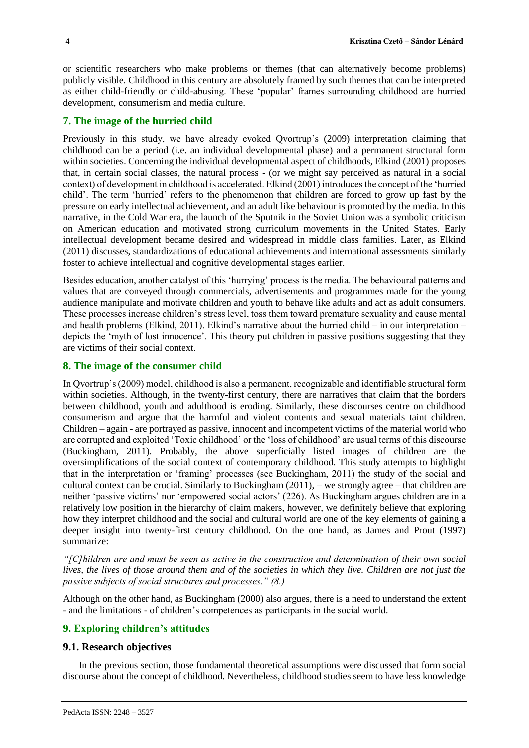or scientific researchers who make problems or themes (that can alternatively become problems) publicly visible. Childhood in this century are absolutely framed by such themes that can be interpreted as either child-friendly or child-abusing. These 'popular' frames surrounding childhood are hurried development, consumerism and media culture.

# **7. The image of the hurried child**

Previously in this study, we have already evoked Qvortrup's (2009) interpretation claiming that childhood can be a period (i.e. an individual developmental phase) and a permanent structural form within societies. Concerning the individual developmental aspect of childhoods, Elkind (2001) proposes that, in certain social classes, the natural process - (or we might say perceived as natural in a social context) of development in childhood is accelerated. Elkind (2001) introduces the concept of the 'hurried child'. The term 'hurried' refers to the phenomenon that children are forced to grow up fast by the pressure on early intellectual achievement, and an adult like behaviour is promoted by the media. In this narrative, in the Cold War era, the launch of the Sputnik in the Soviet Union was a symbolic criticism on American education and motivated strong curriculum movements in the United States. Early intellectual development became desired and widespread in middle class families. Later, as Elkind (2011) discusses, standardizations of educational achievements and international assessments similarly foster to achieve intellectual and cognitive developmental stages earlier.

Besides education, another catalyst of this 'hurrying' process is the media. The behavioural patterns and values that are conveyed through commercials, advertisements and programmes made for the young audience manipulate and motivate children and youth to behave like adults and act as adult consumers. These processes increase children's stress level, toss them toward premature sexuality and cause mental and health problems (Elkind, 2011). Elkind's narrative about the hurried child – in our interpretation – depicts the 'myth of lost innocence'. This theory put children in passive positions suggesting that they are victims of their social context.

## **8. The image of the consumer child**

In Qvortrup's (2009) model, childhood is also a permanent, recognizable and identifiable structural form within societies. Although, in the twenty-first century, there are narratives that claim that the borders between childhood, youth and adulthood is eroding. Similarly, these discourses centre on childhood consumerism and argue that the harmful and violent contents and sexual materials taint children. Children – again - are portrayed as passive, innocent and incompetent victims of the material world who are corrupted and exploited 'Toxic childhood' or the 'loss of childhood' are usual terms of this discourse (Buckingham, 2011). Probably, the above superficially listed images of children are the oversimplifications of the social context of contemporary childhood. This study attempts to highlight that in the interpretation or 'framing' processes (see Buckingham, 2011) the study of the social and cultural context can be crucial. Similarly to Buckingham (2011), – we strongly agree – that children are neither 'passive victims' nor 'empowered social actors' (226). As Buckingham argues children are in a relatively low position in the hierarchy of claim makers, however, we definitely believe that exploring how they interpret childhood and the social and cultural world are one of the key elements of gaining a deeper insight into twenty-first century childhood. On the one hand, as James and Prout (1997) summarize:

*"[C]hildren are and must be seen as active in the construction and determination of their own social lives, the lives of those around them and of the societies in which they live. Children are not just the passive subjects of social structures and processes." (8.)*

Although on the other hand, as Buckingham (2000) also argues, there is a need to understand the extent - and the limitations - of children's competences as participants in the social world.

#### **9. Exploring children's attitudes**

#### **9.1. Research objectives**

In the previous section, those fundamental theoretical assumptions were discussed that form social discourse about the concept of childhood. Nevertheless, childhood studies seem to have less knowledge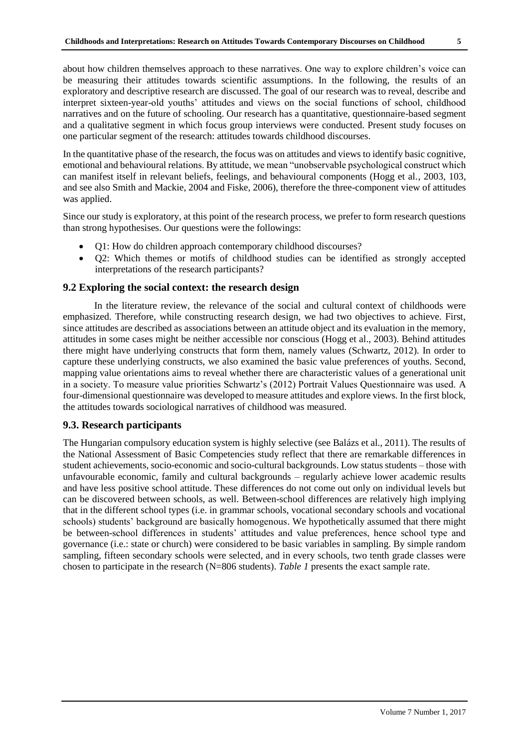about how children themselves approach to these narratives. One way to explore children's voice can be measuring their attitudes towards scientific assumptions. In the following, the results of an exploratory and descriptive research are discussed. The goal of our research was to reveal, describe and interpret sixteen-year-old youths' attitudes and views on the social functions of school, childhood narratives and on the future of schooling. Our research has a quantitative, questionnaire-based segment and a qualitative segment in which focus group interviews were conducted. Present study focuses on one particular segment of the research: attitudes towards childhood discourses.

In the quantitative phase of the research, the focus was on attitudes and views to identify basic cognitive, emotional and behavioural relations. By attitude, we mean "unobservable psychological construct which can manifest itself in relevant beliefs, feelings, and behavioural components (Hogg et al., 2003, 103, and see also Smith and Mackie, 2004 and Fiske, 2006), therefore the three-component view of attitudes was applied.

Since our study is exploratory, at this point of the research process, we prefer to form research questions than strong hypothesises. Our questions were the followings:

- Q1: How do children approach contemporary childhood discourses?
- Q2: Which themes or motifs of childhood studies can be identified as strongly accepted interpretations of the research participants?

## **9.2 Exploring the social context: the research design**

In the literature review, the relevance of the social and cultural context of childhoods were emphasized. Therefore, while constructing research design, we had two objectives to achieve. First, since attitudes are described as associations between an attitude object and its evaluation in the memory, attitudes in some cases might be neither accessible nor conscious (Hogg et al., 2003). Behind attitudes there might have underlying constructs that form them, namely values (Schwartz, 2012). In order to capture these underlying constructs, we also examined the basic value preferences of youths. Second, mapping value orientations aims to reveal whether there are characteristic values of a generational unit in a society. To measure value priorities Schwartz's (2012) Portrait Values Questionnaire was used. A four-dimensional questionnaire was developed to measure attitudes and explore views. In the first block, the attitudes towards sociological narratives of childhood was measured.

### **9.3. Research participants**

The Hungarian compulsory education system is highly selective (see Balázs et al., 2011). The results of the National Assessment of Basic Competencies study reflect that there are remarkable differences in student achievements, socio-economic and socio-cultural backgrounds. Low status students – those with unfavourable economic, family and cultural backgrounds – regularly achieve lower academic results and have less positive school attitude. These differences do not come out only on individual levels but can be discovered between schools, as well. Between-school differences are relatively high implying that in the different school types (i.e. in grammar schools, vocational secondary schools and vocational schools) students' background are basically homogenous. We hypothetically assumed that there might be between-school differences in students' attitudes and value preferences, hence school type and governance (i.e.: state or church) were considered to be basic variables in sampling. By simple random sampling, fifteen secondary schools were selected, and in every schools, two tenth grade classes were chosen to participate in the research (N=806 students). *Table 1* presents the exact sample rate.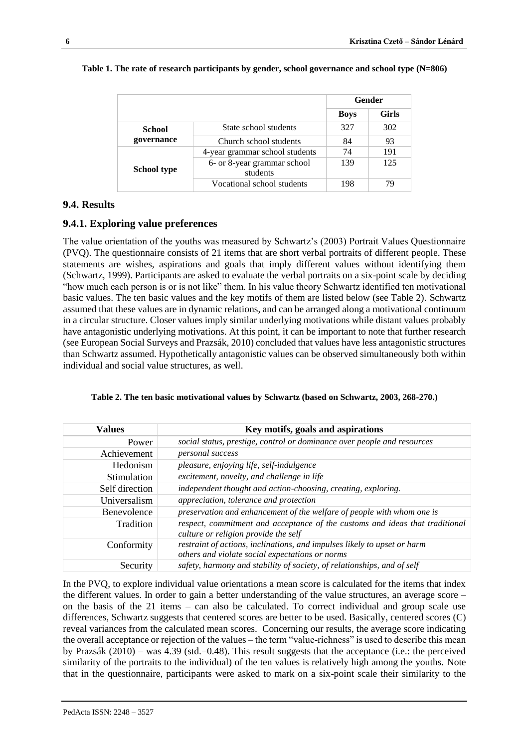|                    |                                         | Gender      |              |
|--------------------|-----------------------------------------|-------------|--------------|
|                    |                                         | <b>Boys</b> | <b>Girls</b> |
| School             | State school students                   | 327         | 302          |
| governance         | Church school students                  | 84          | 93           |
|                    | 4-year grammar school students          | 74          | 191          |
| <b>School type</b> | 6- or 8-year grammar school<br>students | 139         | 125          |
|                    | Vocational school students              | 198         | 79           |

#### **Table 1. The rate of research participants by gender, school governance and school type (N=806)**

# **9.4. Results**

# **9.4.1. Exploring value preferences**

The value orientation of the youths was measured by Schwartz's (2003) Portrait Values Questionnaire (PVQ). The questionnaire consists of 21 items that are short verbal portraits of different people. These statements are wishes, aspirations and goals that imply different values without identifying them (Schwartz, 1999). Participants are asked to evaluate the verbal portraits on a six-point scale by deciding "how much each person is or is not like" them. In his value theory Schwartz identified ten motivational basic values. The ten basic values and the key motifs of them are listed below (see Table 2). Schwartz assumed that these values are in dynamic relations, and can be arranged along a motivational continuum in a circular structure. Closer values imply similar underlying motivations while distant values probably have antagonistic underlying motivations. At this point, it can be important to note that further research (see European Social Surveys and Prazsák, 2010) concluded that values have less antagonistic structures than Schwartz assumed. Hypothetically antagonistic values can be observed simultaneously both within individual and social value structures, as well.

| <b>Values</b>  | Key motifs, goals and aspirations                                                                                           |  |
|----------------|-----------------------------------------------------------------------------------------------------------------------------|--|
| Power          | social status, prestige, control or dominance over people and resources                                                     |  |
| Achievement    | <i>personal success</i>                                                                                                     |  |
| Hedonism       | pleasure, enjoying life, self-indulgence                                                                                    |  |
| Stimulation    | excitement, novelty, and challenge in life                                                                                  |  |
| Self direction | independent thought and action-choosing, creating, exploring.                                                               |  |
| Universalism   | appreciation, tolerance and protection                                                                                      |  |
| Benevolence    | preservation and enhancement of the welfare of people with whom one is                                                      |  |
| Tradition      | respect, commitment and acceptance of the customs and ideas that traditional<br>culture or religion provide the self        |  |
| Conformity     | restraint of actions, inclinations, and impulses likely to upset or harm<br>others and violate social expectations or norms |  |
| Security       | safety, harmony and stability of society, of relationships, and of self                                                     |  |

|  | Table 2. The ten basic motivational values by Schwartz (based on Schwartz, 2003, 268-270.) |  |  |  |  |  |
|--|--------------------------------------------------------------------------------------------|--|--|--|--|--|
|  |                                                                                            |  |  |  |  |  |

In the PVQ, to explore individual value orientations a mean score is calculated for the items that index the different values. In order to gain a better understanding of the value structures, an average score – on the basis of the 21 items – can also be calculated. To correct individual and group scale use differences, Schwartz suggests that centered scores are better to be used. Basically, centered scores (C) reveal variances from the calculated mean scores. Concerning our results, the average score indicating the overall acceptance or rejection of the values – the term "value-richness" is used to describe this mean by Prazsák (2010) – was 4.39 (std.=0.48). This result suggests that the acceptance (i.e.: the perceived similarity of the portraits to the individual) of the ten values is relatively high among the youths. Note that in the questionnaire, participants were asked to mark on a six-point scale their similarity to the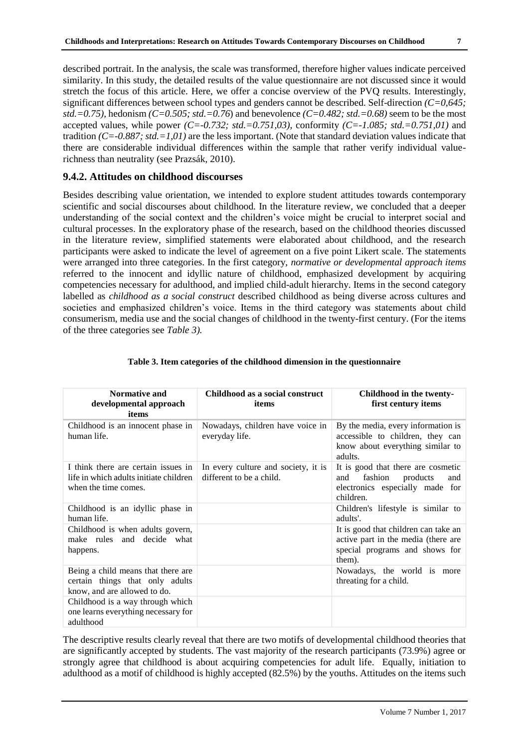described portrait. In the analysis, the scale was transformed, therefore higher values indicate perceived similarity. In this study, the detailed results of the value questionnaire are not discussed since it would stretch the focus of this article. Here, we offer a concise overview of the PVQ results. Interestingly, significant differences between school types and genders cannot be described. Self-direction *(C=0,645; std.=0.75)*, hedonism *(C=0.505; std.=0.76*) and benevolence *(C=0.482; std.=0.68)* seem to be the most accepted values, while power *(C=-0.732; std.=0.751,03),* conformity *(C=-1.085; std.=0.751,01)* and tradition *(C=-0.887; std.=1,01)* are the less important. (Note that standard deviation values indicate that there are considerable individual differences within the sample that rather verify individual valuerichness than neutrality (see Prazsák, 2010).

#### **9.4.2. Attitudes on childhood discourses**

Besides describing value orientation, we intended to explore student attitudes towards contemporary scientific and social discourses about childhood. In the literature review, we concluded that a deeper understanding of the social context and the children's voice might be crucial to interpret social and cultural processes. In the exploratory phase of the research, based on the childhood theories discussed in the literature review, simplified statements were elaborated about childhood, and the research participants were asked to indicate the level of agreement on a five point Likert scale. The statements were arranged into three categories. In the first category, *normative or developmental approach items*  referred to the innocent and idyllic nature of childhood, emphasized development by acquiring competencies necessary for adulthood, and implied child-adult hierarchy. Items in the second category labelled as *childhood as a social construct* described childhood as being diverse across cultures and societies and emphasized children's voice. Items in the third category was statements about child consumerism, media use and the social changes of childhood in the twenty-first century. (For the items of the three categories see *Table 3).*

| <b>Normative and</b><br>developmental approach<br>items                                               | Childhood as a social construct<br>items                        | Childhood in the twenty-<br>first century items                                                                         |
|-------------------------------------------------------------------------------------------------------|-----------------------------------------------------------------|-------------------------------------------------------------------------------------------------------------------------|
| Childhood is an innocent phase in<br>human life.                                                      | Nowadays, children have voice in<br>everyday life.              | By the media, every information is<br>accessible to children, they can<br>know about everything similar to<br>adults.   |
| I think there are certain issues in<br>life in which adults initiate children<br>when the time comes. | In every culture and society, it is<br>different to be a child. | It is good that there are cosmetic<br>fashion<br>products<br>and<br>and<br>electronics especially made for<br>children. |
| Childhood is an idyllic phase in<br>human life.                                                       |                                                                 | Children's lifestyle is similar to<br>adults'.                                                                          |
| Childhood is when adults govern,<br>make rules and decide what<br>happens.                            |                                                                 | It is good that children can take an<br>active part in the media (there are<br>special programs and shows for<br>them). |
| Being a child means that there are<br>certain things that only adults<br>know, and are allowed to do. |                                                                 | Nowadays, the world is more<br>threating for a child.                                                                   |
| Childhood is a way through which<br>one learns everything necessary for<br>adulthood                  |                                                                 |                                                                                                                         |

#### **Table 3. Item categories of the childhood dimension in the questionnaire**

The descriptive results clearly reveal that there are two motifs of developmental childhood theories that are significantly accepted by students. The vast majority of the research participants (73.9%) agree or strongly agree that childhood is about acquiring competencies for adult life. Equally, initiation to adulthood as a motif of childhood is highly accepted (82.5%) by the youths. Attitudes on the items such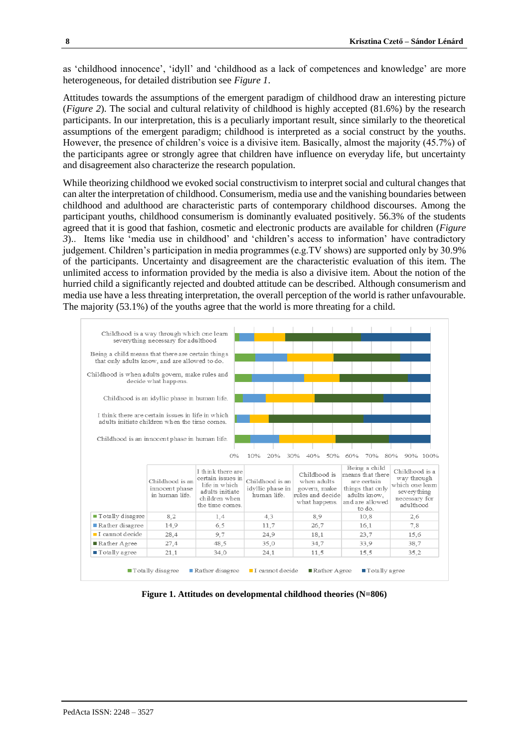as 'childhood innocence', 'idyll' and 'childhood as a lack of competences and knowledge' are more heterogeneous, for detailed distribution see *Figure 1*.

Attitudes towards the assumptions of the emergent paradigm of childhood draw an interesting picture (*Figure 2*). The social and cultural relativity of childhood is highly accepted (81.6%) by the research participants. In our interpretation, this is a peculiarly important result, since similarly to the theoretical assumptions of the emergent paradigm; childhood is interpreted as a social construct by the youths. However, the presence of children's voice is a divisive item. Basically, almost the majority (45.7%) of the participants agree or strongly agree that children have influence on everyday life, but uncertainty and disagreement also characterize the research population.

While theorizing childhood we evoked social constructivism to interpret social and cultural changes that can alter the interpretation of childhood. Consumerism, media use and the vanishing boundaries between childhood and adulthood are characteristic parts of contemporary childhood discourses. Among the participant youths, childhood consumerism is dominantly evaluated positively. 56.3% of the students agreed that it is good that fashion, cosmetic and electronic products are available for children (*Figure 3*).. Items like 'media use in childhood' and 'children's access to information' have contradictory judgement. Children's participation in media programmes (e.g.TV shows) are supported only by 30.9% of the participants. Uncertainty and disagreement are the characteristic evaluation of this item. The unlimited access to information provided by the media is also a divisive item. About the notion of the hurried child a significantly rejected and doubted attitude can be described. Although consumerism and media use have a less threating interpretation, the overall perception of the world is rather unfavourable. The majority (53.1%) of the youths agree that the world is more threating for a child.



**Figure 1. Attitudes on developmental childhood theories (N=806)**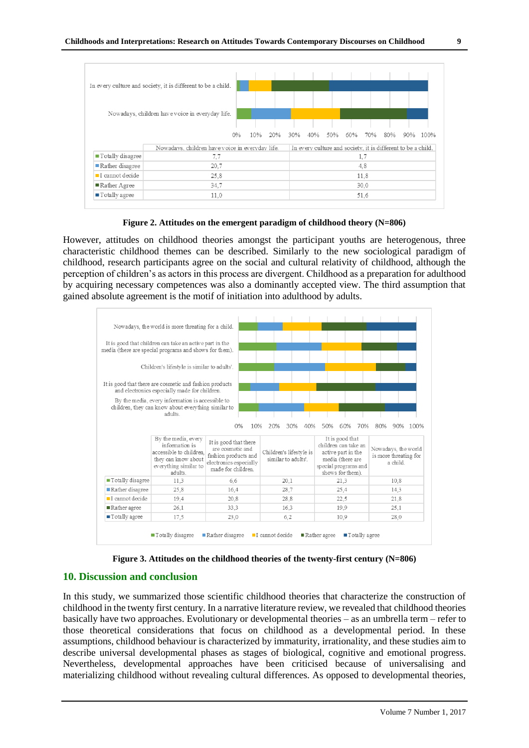

**Figure 2. Attitudes on the emergent paradigm of childhood theory (N=806)**

However, attitudes on childhood theories amongst the participant youths are heterogenous, three characteristic childhood themes can be described. Similarly to the new sociological paradigm of childhood, research participants agree on the social and cultural relativity of childhood, although the perception of children's as actors in this process are divergent. Childhood as a preparation for adulthood by acquiring necessary competences was also a dominantly accepted view. The third assumption that gained absolute agreement is the motif of initiation into adulthood by adults.



**Figure 3. Attitudes on the childhood theories of the twenty-first century (N=806)**

#### **10. Discussion and conclusion**

In this study, we summarized those scientific childhood theories that characterize the construction of childhood in the twenty first century. In a narrative literature review, we revealed that childhood theories basically have two approaches. Evolutionary or developmental theories – as an umbrella term – refer to those theoretical considerations that focus on childhood as a developmental period. In these assumptions, childhood behaviour is characterized by immaturity, irrationality, and these studies aim to describe universal developmental phases as stages of biological, cognitive and emotional progress. Nevertheless, developmental approaches have been criticised because of universalising and materializing childhood without revealing cultural differences. As opposed to developmental theories,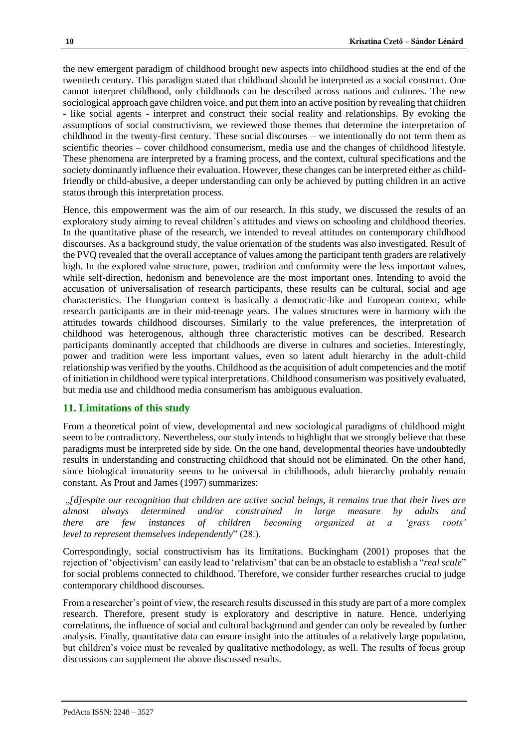the new emergent paradigm of childhood brought new aspects into childhood studies at the end of the twentieth century. This paradigm stated that childhood should be interpreted as a social construct. One cannot interpret childhood, only childhoods can be described across nations and cultures. The new sociological approach gave children voice, and put them into an active position by revealing that children - like social agents - interpret and construct their social reality and relationships. By evoking the assumptions of social constructivism, we reviewed those themes that determine the interpretation of childhood in the twenty-first century. These social discourses – we intentionally do not term them as scientific theories – cover childhood consumerism, media use and the changes of childhood lifestyle. These phenomena are interpreted by a framing process, and the context, cultural specifications and the society dominantly influence their evaluation. However, these changes can be interpreted either as childfriendly or child-abusive, a deeper understanding can only be achieved by putting children in an active status through this interpretation process.

Hence, this empowerment was the aim of our research. In this study, we discussed the results of an exploratory study aiming to reveal children's attitudes and views on schooling and childhood theories. In the quantitative phase of the research, we intended to reveal attitudes on contemporary childhood discourses. As a background study, the value orientation of the students was also investigated. Result of the PVQ revealed that the overall acceptance of values among the participant tenth graders are relatively high. In the explored value structure, power, tradition and conformity were the less important values, while self-direction, hedonism and benevolence are the most important ones. Intending to avoid the accusation of universalisation of research participants, these results can be cultural, social and age characteristics. The Hungarian context is basically a democratic-like and European context, while research participants are in their mid-teenage years. The values structures were in harmony with the attitudes towards childhood discourses. Similarly to the value preferences, the interpretation of childhood was heterogenous, although three characteristic motives can be described. Research participants dominantly accepted that childhoods are diverse in cultures and societies. Interestingly, power and tradition were less important values, even so latent adult hierarchy in the adult-child relationship was verified by the youths. Childhood as the acquisition of adult competencies and the motif of initiation in childhood were typical interpretations. Childhood consumerism was positively evaluated, but media use and childhood media consumerism has ambiguous evaluation.

#### **11. Limitations of this study**

From a theoretical point of view, developmental and new sociological paradigms of childhood might seem to be contradictory. Nevertheless, our study intends to highlight that we strongly believe that these paradigms must be interpreted side by side. On the one hand, developmental theories have undoubtedly results in understanding and constructing childhood that should not be eliminated. On the other hand, since biological immaturity seems to be universal in childhoods, adult hierarchy probably remain constant. As Prout and James (1997) summarizes:

"*[d]espite our recognition that children are active social beings, it remains true that their lives are almost always determined and/or constrained in large measure by adults and there are few instances of children becoming organized at a 'grass roots' level to represent themselves independently*" (28.).

Correspondingly, social constructivism has its limitations. Buckingham (2001) proposes that the rejection of 'objectivism' can easily lead to 'relativism' that can be an obstacle to establish a "*real scale*" for social problems connected to childhood. Therefore, we consider further researches crucial to judge contemporary childhood discourses.

From a researcher's point of view, the research results discussed in this study are part of a more complex research. Therefore, present study is exploratory and descriptive in nature. Hence, underlying correlations, the influence of social and cultural background and gender can only be revealed by further analysis. Finally, quantitative data can ensure insight into the attitudes of a relatively large population, but children's voice must be revealed by qualitative methodology, as well. The results of focus group discussions can supplement the above discussed results.